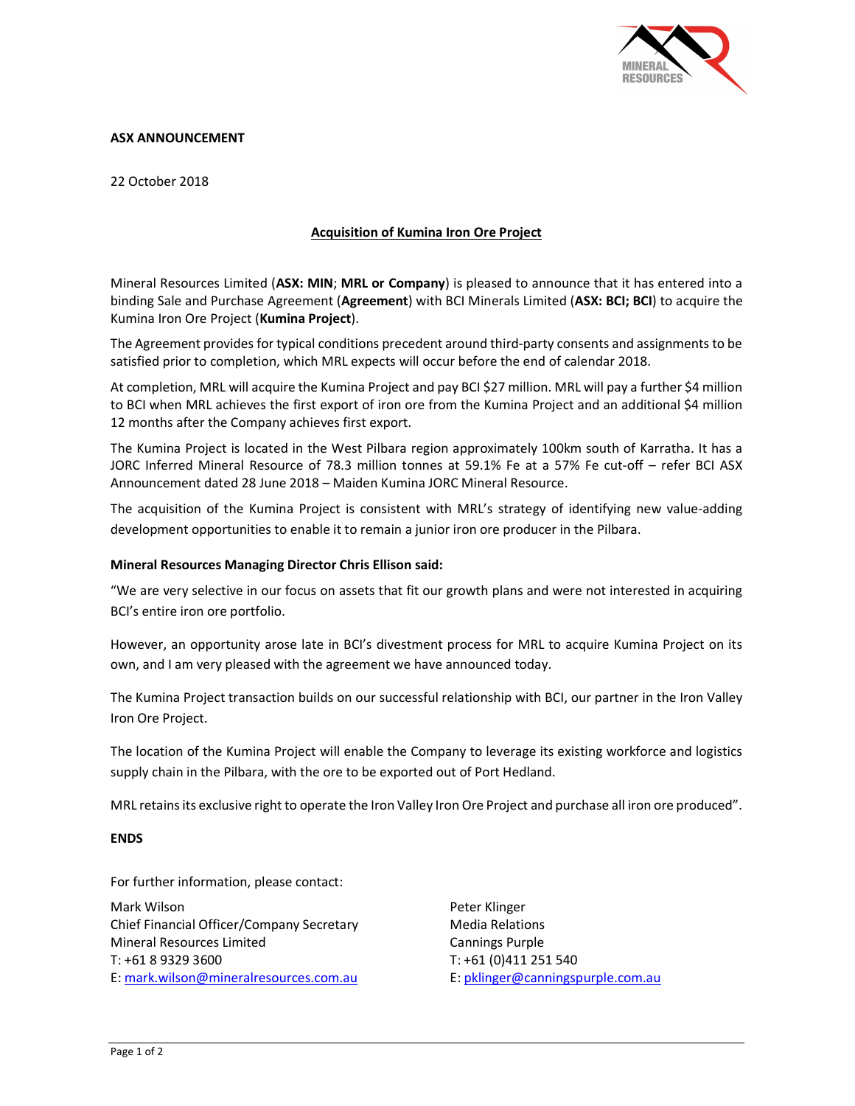

# ASX ANNOUNCEMENT

22 October 2018

# Acquisition of Kumina Iron Ore Project

Mineral Resources Limited (ASX: MIN; MRL or Company) is pleased to announce that it has entered into a binding Sale and Purchase Agreement (Agreement) with BCI Minerals Limited (ASX: BCI; BCI) to acquire the Kumina Iron Ore Project (Kumina Project).

The Agreement provides for typical conditions precedent around third-party consents and assignments to be satisfied prior to completion, which MRL expects will occur before the end of calendar 2018.

At completion, MRL will acquire the Kumina Project and pay BCI \$27 million. MRL will pay a further \$4 million to BCI when MRL achieves the first export of iron ore from the Kumina Project and an additional \$4 million 12 months after the Company achieves first export.

The Kumina Project is located in the West Pilbara region approximately 100km south of Karratha. It has a JORC Inferred Mineral Resource of 78.3 million tonnes at 59.1% Fe at a 57% Fe cut-off – refer BCI ASX Announcement dated 28 June 2018 – Maiden Kumina JORC Mineral Resource.

The acquisition of the Kumina Project is consistent with MRL's strategy of identifying new value-adding development opportunities to enable it to remain a junior iron ore producer in the Pilbara.

#### Mineral Resources Managing Director Chris Ellison said:

"We are very selective in our focus on assets that fit our growth plans and were not interested in acquiring BCI's entire iron ore portfolio.

However, an opportunity arose late in BCI's divestment process for MRL to acquire Kumina Project on its own, and I am very pleased with the agreement we have announced today.

The Kumina Project transaction builds on our successful relationship with BCI, our partner in the Iron Valley Iron Ore Project.

The location of the Kumina Project will enable the Company to leverage its existing workforce and logistics supply chain in the Pilbara, with the ore to be exported out of Port Hedland.

MRL retains its exclusive right to operate the Iron Valley Iron Ore Project and purchase all iron ore produced".

### ENDS

For further information, please contact:

Mark Wilson Chief Financial Officer/Company Secretary Mineral Resources Limited T: +61 8 9329 3600 E: mark.wilson@mineralresources.com.au

Peter Klinger Media Relations Cannings Purple T: +61 (0)411 251 540 E: pklinger@canningspurple.com.au